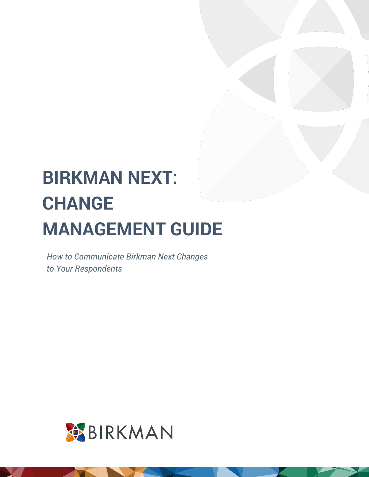*How to Communicate Birkman Next Changes to Your Respondents*

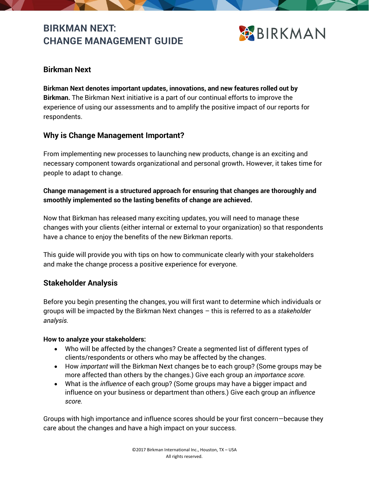

# **Birkman Next**

**Birkman Next denotes important updates, innovations, and new features rolled out by Birkman.** The Birkman Next initiative is a part of our continual efforts to improve the experience of using our assessments and to amplify the positive impact of our reports for respondents.

# **Why is Change Management Important?**

From implementing new processes to launching new products, change is an exciting and necessary component towards organizational and personal growth**.** However, it takes time for people to adapt to change.

#### **Change management is a structured approach for ensuring that changes are thoroughly and smoothly implemented so the lasting benefits of change are achieved.**

Now that Birkman has released many exciting updates, you will need to manage these changes with your clients (either internal or external to your organization) so that respondents have a chance to enjoy the benefits of the new Birkman reports.

This guide will provide you with tips on how to communicate clearly with your stakeholders and make the change process a positive experience for everyone.

## **Stakeholder Analysis**

Before you begin presenting the changes, you will first want to determine which individuals or groups will be impacted by the Birkman Next changes – this is referred to as a *stakeholder analysis.* 

#### **How to analyze your stakeholders:**

- Who will be affected by the changes? Create a segmented list of different types of clients/respondents or others who may be affected by the changes.
- How *important* will the Birkman Next changes be to each group? (Some groups may be more affected than others by the changes.) Give each group an *importance score.*
- What is the *influence* of each group? (Some groups may have a bigger impact and influence on your business or department than others.) Give each group an *influence score.*

Groups with high importance and influence scores should be your first concern—because they care about the changes and have a high impact on your success.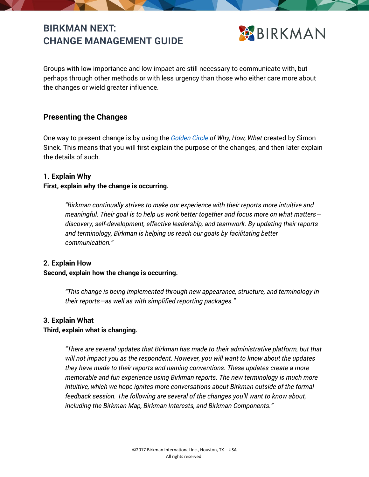

Groups with low importance and low impact are still necessary to communicate with, but perhaps through other methods or with less urgency than those who either care more about the changes or wield greater influence.

# **Presenting the Changes**

One way to present change is by using the *[Golden Circle](https://gumroad.com/l/GoldenCircle) of Why, How, What* created by Simon Sinek. This means that you will first explain the purpose of the changes, and then later explain the details of such.

#### **1. Explain Why**

#### **First, explain why the change is occurring.**

*"Birkman continually strives to make our experience with their reports more intuitive and meaningful. Their goal is to help us work better together and focus more on what matters discovery, self-development, effective leadership, and teamwork. By updating their reports and terminology, Birkman is helping us reach our goals by facilitating better communication."*

#### **2. Explain How**

#### **Second, explain how the change is occurring.**

*"This change is being implemented through new appearance, structure, and terminology in their reports—as well as with simplified reporting packages."*

#### **3. Explain What**

#### **Third, explain what is changing.**

*"There are several updates that Birkman has made to their administrative platform, but that will not impact you as the respondent. However, you will want to know about the updates they have made to their reports and naming conventions. These updates create a more memorable and fun experience using Birkman reports. The new terminology is much more intuitive, which we hope ignites more conversations about Birkman outside of the formal feedback session. The following are several of the changes you'll want to know about, including the Birkman Map, Birkman Interests, and Birkman Components."*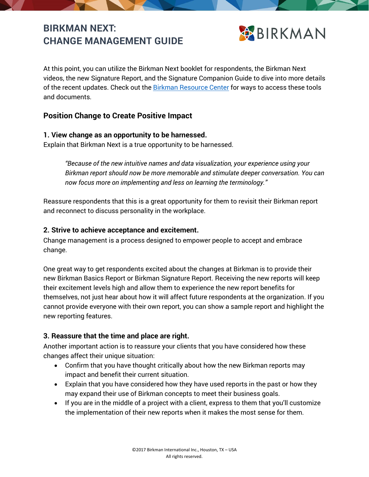

At this point, you can utilize the Birkman Next booklet for respondents, the Birkman Next videos, the new Signature Report, and the Signature Companion Guide to dive into more details of the recent updates. Check out the [Birkman Resource Center](https://birkman.zendesk.com/hc) for ways to access these tools and documents.

# **Position Change to Create Positive Impact**

#### **1. View change as an opportunity to be harnessed.**

Explain that Birkman Next is a true opportunity to be harnessed.

*"Because of the new intuitive names and data visualization, your experience using your Birkman report should now be more memorable and stimulate deeper conversation. You can now focus more on implementing and less on learning the terminology."*

Reassure respondents that this is a great opportunity for them to revisit their Birkman report and reconnect to discuss personality in the workplace.

#### **2. Strive to achieve acceptance and excitement.**

Change management is a process designed to empower people to accept and embrace change.

One great way to get respondents excited about the changes at Birkman is to provide their new Birkman Basics Report or Birkman Signature Report. Receiving the new reports will keep their excitement levels high and allow them to experience the new report benefits for themselves, not just hear about how it will affect future respondents at the organization. If you cannot provide everyone with their own report, you can show a sample report and highlight the new reporting features.

## **3. Reassure that the time and place are right.**

Another important action is to reassure your clients that you have considered how these changes affect their unique situation:

- Confirm that you have thought critically about how the new Birkman reports may impact and benefit their current situation.
- Explain that you have considered how they have used reports in the past or how they may expand their use of Birkman concepts to meet their business goals.
- If you are in the middle of a project with a client, express to them that you'll customize the implementation of their new reports when it makes the most sense for them.